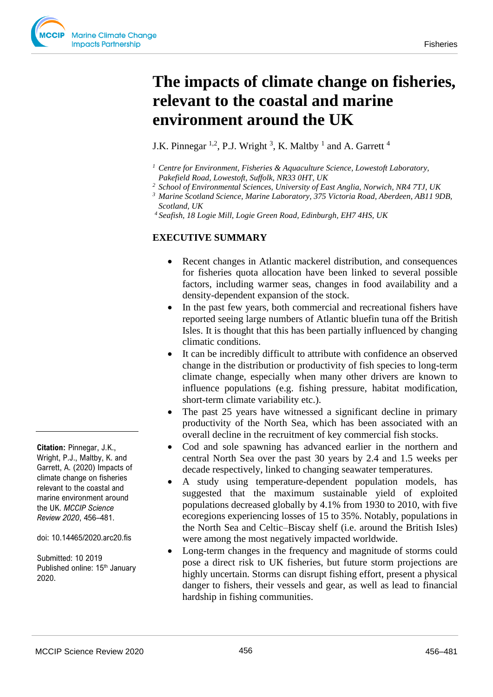# **The impacts of climate change on fisheries, relevant to the coastal and marine environment around the UK**

J.K. Pinnegar  $^{1,2}$ , P.J. Wright  $^3$ , K. Maltby  $^1$  and A. Garrett  $^4$ 

- *<sup>1</sup>Centre for Environment, Fisheries & Aquaculture Science, Lowestoft Laboratory, Pakefield Road, Lowestoft, Suffolk, NR33 0HT, UK*
- *<sup>2</sup>School of Environmental Sciences, University of East Anglia, Norwich, NR4 7TJ, UK*
- *<sup>3</sup>Marine Scotland Science, Marine Laboratory, 375 Victoria Road, Aberdeen, AB11 9DB, Scotland, UK*
- *<sup>4</sup>Seafish, 18 Logie Mill, Logie Green Road, Edinburgh, EH7 4HS, UK*

#### **EXECUTIVE SUMMARY**

- Recent changes in Atlantic mackerel distribution, and consequences for fisheries quota allocation have been linked to several possible factors, including warmer seas, changes in food availability and a density-dependent expansion of the stock.
- In the past few years, both commercial and recreational fishers have reported seeing large numbers of Atlantic bluefin tuna off the British Isles. It is thought that this has been partially influenced by changing climatic conditions.
- It can be incredibly difficult to attribute with confidence an observed change in the distribution or productivity of fish species to long-term climate change, especially when many other drivers are known to influence populations (e.g. fishing pressure, habitat modification, short-term climate variability etc.).
- The past 25 years have witnessed a significant decline in primary productivity of the North Sea, which has been associated with an overall decline in the recruitment of key commercial fish stocks.
- Cod and sole spawning has advanced earlier in the northern and central North Sea over the past 30 years by 2.4 and 1.5 weeks per decade respectively, linked to changing seawater temperatures.
- A study using temperature-dependent population models, has suggested that the maximum sustainable yield of exploited populations decreased globally by 4.1% from 1930 to 2010, with five ecoregions experiencing losses of 15 to 35%. Notably, populations in the North Sea and Celtic–Biscay shelf (i.e. around the British Isles) were among the most negatively impacted worldwide.
- Long-term changes in the frequency and magnitude of storms could pose a direct risk to UK fisheries, but future storm projections are highly uncertain. Storms can disrupt fishing effort, present a physical danger to fishers, their vessels and gear, as well as lead to financial hardship in fishing communities.

**Citation:** Pinnegar, J.K., Wright, P.J., Maltby, K. and Garrett, A. (2020) Impacts of climate change on fisheries relevant to the coastal and marine environment around the UK. *MCCIP Science Review 2020*, 456–481.

doi: 10.14465/2020.arc20.fis

Submitted: 10 2019 Published online: 15<sup>th</sup> January 2020.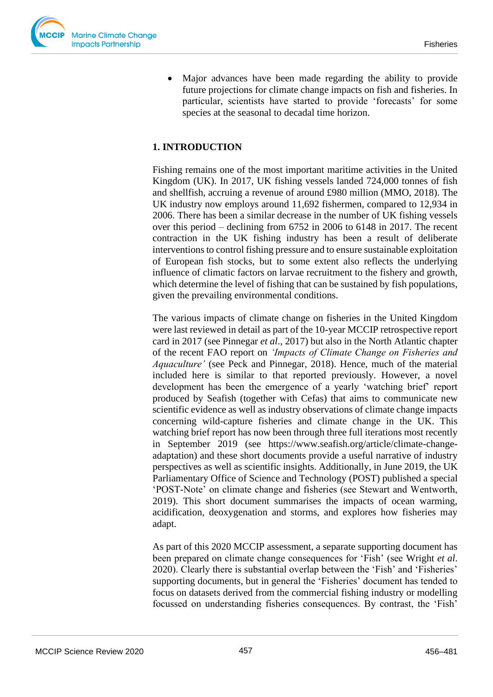

• Major advances have been made regarding the ability to provide future projections for climate change impacts on fish and fisheries. In particular, scientists have started to provide 'forecasts' for some species at the seasonal to decadal time horizon.

## **1. INTRODUCTION**

Fishing remains one of the most important maritime activities in the United Kingdom (UK). In 2017, UK fishing vessels landed 724,000 tonnes of fish and shellfish, accruing a revenue of around £980 million (MMO, 2018). The UK industry now employs around 11,692 fishermen, compared to 12,934 in 2006. There has been a similar decrease in the number of UK fishing vessels over this period – declining from 6752 in 2006 to 6148 in 2017. The recent contraction in the UK fishing industry has been a result of deliberate interventions to control fishing pressure and to ensure sustainable exploitation of European fish stocks, but to some extent also reflects the underlying influence of climatic factors on larvae recruitment to the fishery and growth, which determine the level of fishing that can be sustained by fish populations, given the prevailing environmental conditions.

The various impacts of climate change on fisheries in the United Kingdom were last reviewed in detail as part of the 10-year MCCIP retrospective report card in 2017 (see Pinnegar *et al*., 2017) but also in the North Atlantic chapter of the recent FAO report on *'Impacts of Climate Change on Fisheries and Aquaculture'* (see Peck and Pinnegar, 2018). Hence, much of the material included here is similar to that reported previously. However, a novel development has been the emergence of a yearly 'watching brief' report produced by Seafish (together with Cefas) that aims to communicate new scientific evidence as well as industry observations of climate change impacts concerning wild-capture fisheries and climate change in the UK. This watching brief report has now been through three full iterations most recently in September 2019 (see https://www.seafish.org/article/climate-changeadaptation) and these short documents provide a useful narrative of industry perspectives as well as scientific insights. Additionally, in June 2019, the UK Parliamentary Office of Science and Technology (POST) published a special 'POST-Note' on climate change and fisheries (see Stewart and Wentworth, 2019). This short document summarises the impacts of ocean warming, acidification, deoxygenation and storms, and explores how fisheries may adapt.

As part of this 2020 MCCIP assessment, a separate supporting document has been prepared on climate change consequences for 'Fish' (see Wright *et al*. 2020). Clearly there is substantial overlap between the 'Fish' and 'Fisheries' supporting documents, but in general the 'Fisheries' document has tended to focus on datasets derived from the commercial fishing industry or modelling focussed on understanding fisheries consequences. By contrast, the 'Fish'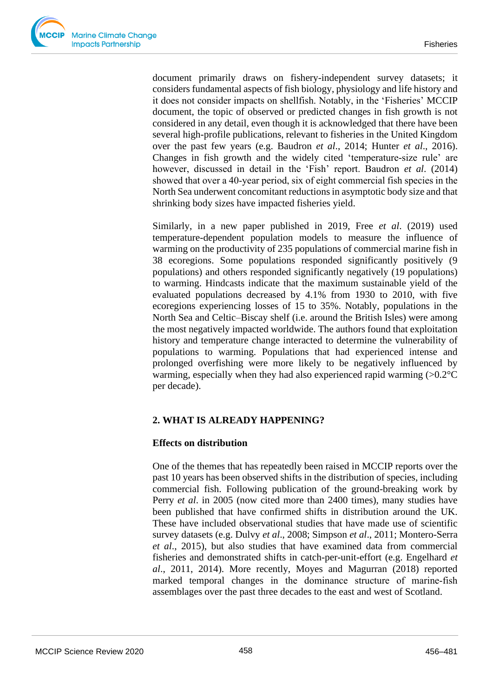document primarily draws on fishery-independent survey datasets; it considers fundamental aspects of fish biology, physiology and life history and it does not consider impacts on shellfish. Notably, in the 'Fisheries' MCCIP document, the topic of observed or predicted changes in fish growth is not considered in any detail, even though it is acknowledged that there have been several high-profile publications, relevant to fisheries in the United Kingdom over the past few years (e.g. Baudron *et al*., 2014; Hunter *et al*., 2016). Changes in fish growth and the widely cited 'temperature-size rule' are however, discussed in detail in the 'Fish' report. Baudron *et al*. (2014) showed that over a 40‐year period, six of eight commercial fish species in the North Sea underwent concomitant reductions in asymptotic body size and that shrinking body sizes have impacted fisheries yield.

Similarly, in a new paper published in 2019, Free *et al*. (2019) used temperature-dependent population models to measure the influence of warming on the productivity of 235 populations of commercial marine fish in 38 ecoregions. Some populations responded significantly positively (9 populations) and others responded significantly negatively (19 populations) to warming. Hindcasts indicate that the maximum sustainable yield of the evaluated populations decreased by 4.1% from 1930 to 2010, with five ecoregions experiencing losses of 15 to 35%. Notably, populations in the North Sea and Celtic–Biscay shelf (i.e. around the British Isles) were among the most negatively impacted worldwide. The authors found that exploitation history and temperature change interacted to determine the vulnerability of populations to warming. Populations that had experienced intense and prolonged overfishing were more likely to be negatively influenced by warming, especially when they had also experienced rapid warming  $(>0.2^{\circ}C)$ per decade).

## **2. WHAT IS ALREADY HAPPENING?**

## **Effects on distribution**

One of the themes that has repeatedly been raised in MCCIP reports over the past 10 years has been observed shifts in the distribution of species, including commercial fish. Following publication of the ground-breaking work by Perry *et al*. in 2005 (now cited more than 2400 times), many studies have been published that have confirmed shifts in distribution around the UK. These have included observational studies that have made use of scientific survey datasets (e.g. Dulvy *et al*., 2008; Simpson *et al*., 2011; Montero-Serra *et al*., 2015), but also studies that have examined data from commercial fisheries and demonstrated shifts in catch-per-unit-effort (e.g. Engelhard *et al*., 2011, 2014). More recently, Moyes and Magurran (2018) reported marked temporal changes in the dominance structure of marine‐fish assemblages over the past three decades to the east and west of Scotland.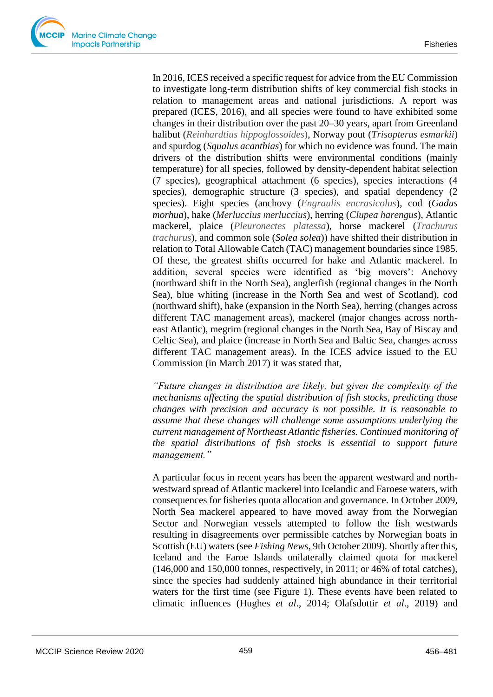In 2016, ICES received a specific request for advice from the EU Commission to investigate long-term distribution shifts of key commercial fish stocks in relation to management areas and national jurisdictions. A report was prepared (ICES, 2016), and all species were found to have exhibited some changes in their distribution over the past 20–30 years, apart from Greenland halibut (*Reinhardtius hippoglossoides*), Norway pout (*Trisopterus esmarkii*) and spurdog (*Squalus acanthias*) for which no evidence was found. The main drivers of the distribution shifts were environmental conditions (mainly temperature) for all species, followed by density-dependent habitat selection (7 species), geographical attachment (6 species), species interactions (4 species), demographic structure (3 species), and spatial dependency (2 species). Eight species (anchovy (*Engraulis encrasicolus*), cod (*Gadus morhua*), hake (*Merluccius merluccius*), herring (*Clupea harengus*), Atlantic mackerel, plaice (*Pleuronectes platessa*), horse mackerel (*Trachurus trachurus*), and common sole (*Solea solea*)) have shifted their distribution in relation to Total Allowable Catch (TAC) management boundaries since 1985. Of these, the greatest shifts occurred for hake and Atlantic mackerel. In addition, several species were identified as 'big movers': Anchovy (northward shift in the North Sea), anglerfish (regional changes in the North Sea), blue whiting (increase in the North Sea and west of Scotland), cod (northward shift), hake (expansion in the North Sea), herring (changes across different TAC management areas), mackerel (major changes across northeast Atlantic), megrim (regional changes in the North Sea, Bay of Biscay and Celtic Sea), and plaice (increase in North Sea and Baltic Sea, changes across different TAC management areas). In the ICES advice issued to the EU Commission (in March 2017) it was stated that,

*"Future changes in distribution are likely, but given the complexity of the mechanisms affecting the spatial distribution of fish stocks, predicting those changes with precision and accuracy is not possible. It is reasonable to assume that these changes will challenge some assumptions underlying the current management of Northeast Atlantic fisheries. Continued monitoring of the spatial distributions of fish stocks is essential to support future management."* 

A particular focus in recent years has been the apparent westward and northwestward spread of Atlantic mackerel into Icelandic and Faroese waters, with consequences for fisheries quota allocation and governance. In October 2009, North Sea mackerel appeared to have moved away from the Norwegian Sector and Norwegian vessels attempted to follow the fish westwards resulting in disagreements over permissible catches by Norwegian boats in Scottish (EU) waters (see *Fishing News*, 9th October 2009). Shortly after this, Iceland and the Faroe Islands unilaterally claimed quota for mackerel (146,000 and 150,000 tonnes, respectively, in 2011; or 46% of total catches), since the species had suddenly attained high abundance in their territorial waters for the first time (see Figure 1). These events have been related to climatic influences (Hughes *et al*., 2014; Olafsdottir *et al*., 2019) and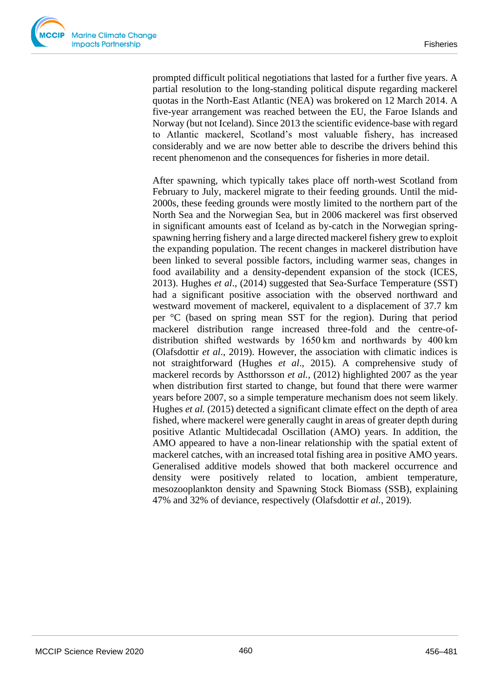prompted difficult political negotiations that lasted for a further five years. A partial resolution to the long-standing political dispute regarding mackerel quotas in the North-East Atlantic (NEA) was brokered on 12 March 2014. A five-year arrangement was reached between the EU, the Faroe Islands and Norway (but not Iceland). Since 2013 the scientific evidence-base with regard to Atlantic mackerel, Scotland's most valuable fishery, has increased considerably and we are now better able to describe the drivers behind this recent phenomenon and the consequences for fisheries in more detail.

After spawning, which typically takes place off north-west Scotland from February to July, mackerel migrate to their feeding grounds. Until the mid-2000s, these feeding grounds were mostly limited to the northern part of the North Sea and the Norwegian Sea, but in 2006 mackerel was first observed in significant amounts east of Iceland as by-catch in the Norwegian springspawning herring fishery and a large directed mackerel fishery grew to exploit the expanding population. The recent changes in mackerel distribution have been linked to several possible factors, including warmer seas, changes in food availability and a density-dependent expansion of the stock (ICES, 2013). Hughes *et al*., (2014) suggested that Sea-Surface Temperature (SST) had a significant positive association with the observed northward and westward movement of mackerel, equivalent to a displacement of 37.7 km per °C (based on spring mean SST for the region). During that period mackerel distribution range increased three-fold and the [centre-of](https://www.sciencedirect.com/topics/earth-and-planetary-sciences/center-of-gravity)[distribution](https://www.sciencedirect.com/topics/earth-and-planetary-sciences/center-of-gravity) shifted westwards by 1650 km and northwards by 400 km (Olafsdottir *et al*., 2019). However, the association with climatic indices is not straightforward (Hughes *et al*., 2015). A comprehensive study of mackerel records by Astthorsson *et al.*, (2012) highlighted 2007 as the year when distribution first started to change, but found that there were warmer years before 2007, so a simple temperature mechanism does not seem likely. Hughes *et al.* (2015) detected a significant climate effect on the depth of area fished, where mackerel were generally caught in areas of greater depth during positive Atlantic Multidecadal Oscillation (AMO) years. In addition, the AMO appeared to have a non-linear relationship with the spatial extent of mackerel catches, with an increased total fishing area in positive AMO years. Generalised [additive](https://www.sciencedirect.com/topics/earth-and-planetary-sciences/additive) models showed that both mackerel occurrence and density were positively related to location, ambient temperature, mesozooplankton density and Spawning Stock Biomass (SSB), explaining 47% and 32% of deviance, respectively (Olafsdottir *et al.*, 2019).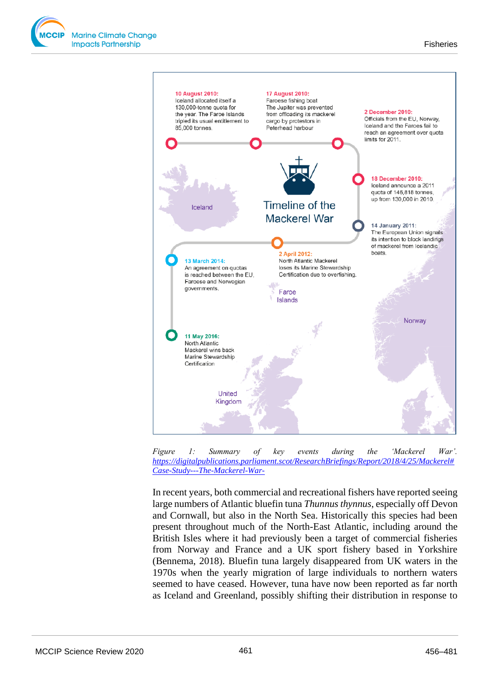





In recent years, both commercial and recreational fishers have reported seeing large numbers of Atlantic bluefin tuna *Thunnus thynnus*, especially off Devon and Cornwall, but also in the North Sea. Historically this species had been present throughout much of the North-East Atlantic, including around the British Isles where it had previously been a target of commercial fisheries from Norway and France and a UK sport fishery based in Yorkshire (Bennema, 2018). Bluefin tuna largely disappeared from UK waters in the 1970s when the yearly migration of large individuals to northern waters seemed to have ceased. However, tuna have now been reported as far north as Iceland and Greenland, possibly shifting their distribution in response to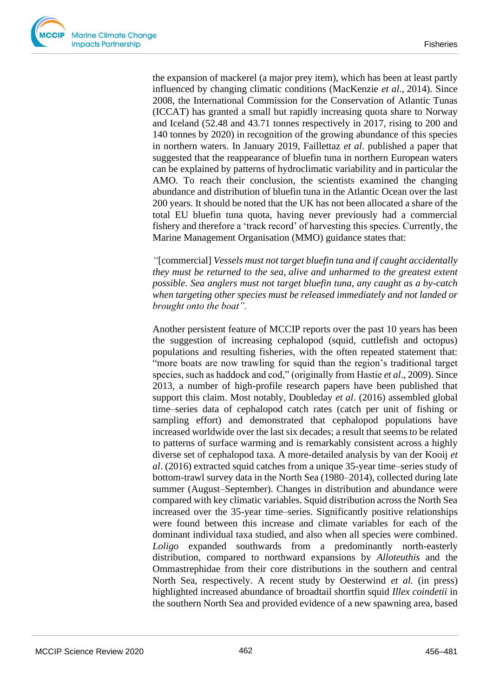the expansion of mackerel (a major prey item), which has been at least partly influenced by changing climatic conditions (MacKenzie *et al*., 2014). Since 2008, the International Commission for the Conservation of Atlantic Tunas (ICCAT) has granted a small but rapidly increasing quota share to Norway and Iceland (52.48 and 43.71 tonnes respectively in 2017, rising to 200 and 140 tonnes by 2020) in recognition of the growing abundance of this species in northern waters. In January 2019, Faillettaz *et al*. published a paper that suggested that the reappearance of [bluefin](https://phys.org/tags/bluefin/) tuna in northern European waters can be explained by patterns of hydroclimatic variability and in particular the AMO. To reach their conclusion, the scientists examined the changing abundance and distribution of bluefin tuna in the Atlantic Ocean over the last 200 years. It should be noted that the UK has not been allocated a share of the total EU bluefin tuna quota, having never previously had a commercial fishery and therefore a 'track record' of harvesting this species. Currently, the Marine Management Organisation (MMO) guidance states that:

*"*[commercial] *Vessels must not target bluefin tuna and if caught accidentally they must be returned to the sea, alive and unharmed to the greatest extent possible. Sea anglers must not target bluefin tuna, any caught as a by-catch when targeting other species must be released immediately and not landed or brought onto the boat".*

Another persistent feature of MCCIP reports over the past 10 years has been the suggestion of increasing cephalopod (squid, cuttlefish and octopus) populations and resulting fisheries, with the often repeated statement that: "more boats are now trawling for squid than the region's traditional target species, such as haddock and cod," (originally from Hastie *et al*., 2009). Since 2013, a number of high-profile research papers have been published that support this claim. Most notably, Doubleday *et al*. (2016) assembled global time–series data of cephalopod catch rates (catch per unit of fishing or sampling effort) and demonstrated that cephalopod populations have increased worldwide over the last six decades; a result that seems to be related to patterns of surface warming and is remarkably consistent across a highly diverse set of cephalopod taxa. A more-detailed analysis by van der Kooij *et al*. (2016) extracted squid catches from a unique 35-year time–series study of bottom-trawl survey data in the North Sea (1980–2014), collected during late summer (August–September). Changes in distribution and abundance were compared with key climatic variables. Squid distribution across the North Sea increased over the 35-year time–series. Significantly positive relationships were found between this increase and climate variables for each of the dominant individual taxa studied, and also when all species were combined. *Loligo* expanded southwards from a predominantly north-easterly distribution, compared to northward expansions by *Alloteuthis* and the Ommastrephidae from their core distributions in the southern and central North Sea, respectively. A recent study by Oesterwind *et al.* (in press) highlighted increased abundance of broadtail shortfin squid *Illex coindetii* in the southern North Sea and provided evidence of a new spawning area, based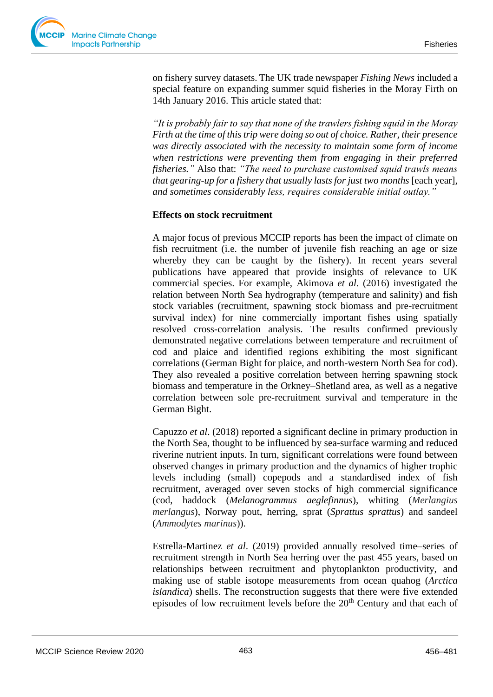on fishery survey datasets. The UK trade newspaper *Fishing News* included a special feature on expanding summer squid fisheries in the Moray Firth on 14th January 2016. This article stated that:

*"It is probably fair to say that none of the trawlers fishing squid in the Moray Firth at the time of this trip were doing so out of choice. Rather, their presence was directly associated with the necessity to maintain some form of income when restrictions were preventing them from engaging in their preferred fisheries."* Also that: *"The need to purchase customised squid trawls means that gearing-up for a fishery that usually lasts for just two months [each year], and sometimes considerably less, requires considerable initial outlay."*

## **Effects on stock recruitment**

A major focus of previous MCCIP reports has been the impact of climate on fish recruitment (i.e. the number of juvenile fish reaching an age or size whereby they can be caught by the fishery). In recent years several publications have appeared that provide insights of relevance to UK commercial species. For example, Akimova *et al*. (2016) investigated the relation between North Sea hydrography (temperature and salinity) and fish stock variables (recruitment, spawning stock biomass and pre-recruitment survival index) for nine commercially important fishes using spatially resolved cross-correlation analysis. The results confirmed previously demonstrated negative correlations between temperature and recruitment of cod and plaice and identified regions exhibiting the most significant correlations (German Bight for plaice, and north-western North Sea for cod). They also revealed a positive correlation between herring spawning stock biomass and temperature in the Orkney–Shetland area, as well as a negative correlation between sole pre-recruitment survival and temperature in the German Bight.

Capuzzo *et al*. (2018) reported a significant decline in primary production in the North Sea, thought to be influenced by sea-surface warming and reduced riverine nutrient inputs. In turn, significant correlations were found between observed changes in primary production and the dynamics of higher trophic levels including (small) copepods and a standardised index of fish recruitment, averaged over seven stocks of high commercial significance (cod, haddock (*Melanogrammus aeglefinnus*), whiting (*Merlangius merlangus*), Norway pout, herring, sprat (*Sprattus sprattus*) and sandeel (*Ammodytes marinus*)).

Estrella-Martinez *et al*. (2019) provided annually resolved time–series of recruitment strength in North Sea herring over the past 455 years, based on relationships between recruitment and phytoplankton productivity, and making use of stable isotope measurements from ocean quahog (*Arctica islandica*) shells. The reconstruction suggests that there were five extended episodes of low recruitment levels before the  $20<sup>th</sup>$  Century and that each of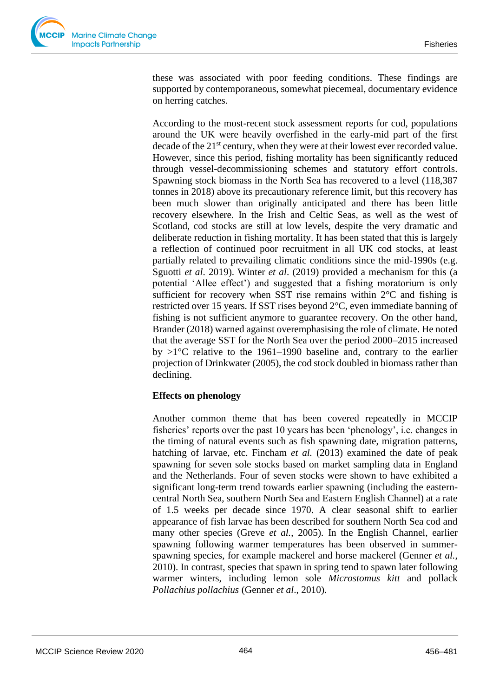these was associated with poor feeding conditions. These findings are supported by contemporaneous, somewhat piecemeal, documentary evidence on herring catches.

According to the most-recent stock assessment reports for cod, populations around the UK were heavily overfished in the early-mid part of the first decade of the  $21^{st}$  century, when they were at their lowest ever recorded value. However, since this period, fishing mortality has been significantly reduced through vessel-decommissioning schemes and statutory effort controls. Spawning stock biomass in the North Sea has recovered to a level (118,387 tonnes in 2018) above its precautionary reference limit, but this recovery has been much slower than originally anticipated and there has been little recovery elsewhere. In the Irish and Celtic Seas, as well as the west of Scotland, cod stocks are still at low levels, despite the very dramatic and deliberate reduction in fishing mortality. It has been stated that this is largely a reflection of continued poor recruitment in all UK cod stocks, at least partially related to prevailing climatic conditions since the mid-1990s (e.g. Sguotti *et al*. 2019). Winter *et al*. (2019) provided a mechanism for this (a potential 'Allee effect') and suggested that a fishing moratorium is only sufficient for recovery when SST rise remains within 2°C and fishing is restricted over 15 years. If SST rises beyond 2°C, even immediate banning of fishing is not sufficient anymore to guarantee recovery. On the other hand, Brander (2018) warned against overemphasising the role of climate. He noted that the average SST for the North Sea over the period 2000–2015 increased by  $>1^{\circ}$ C relative to the 1961–1990 baseline and, contrary to the earlier projection of Drinkwater (2005), the cod stock doubled in biomass rather than declining.

## **Effects on phenology**

Another common theme that has been covered repeatedly in MCCIP fisheries' reports over the past 10 years has been 'phenology', i.e. changes in the timing of natural events such as fish spawning date, migration patterns, hatching of larvae, etc. Fincham *et al.* (2013) examined the date of peak spawning for seven sole stocks based on market sampling data in England and the Netherlands. Four of seven stocks were shown to have exhibited a significant long-term trend towards earlier spawning (including the easterncentral North Sea, southern North Sea and Eastern English Channel) at a rate of 1.5 weeks per decade since 1970. A clear seasonal shift to earlier appearance of fish larvae has been described for southern North Sea cod and many other species (Greve *et al.*, 2005). In the English Channel, earlier spawning following warmer temperatures has been observed in summerspawning species, for example mackerel and horse mackerel (Genner *et al.*, 2010). In contrast, species that spawn in spring tend to spawn later following warmer winters, including lemon sole *Microstomus kitt* and pollack *Pollachius pollachius* (Genner *et al*., 2010).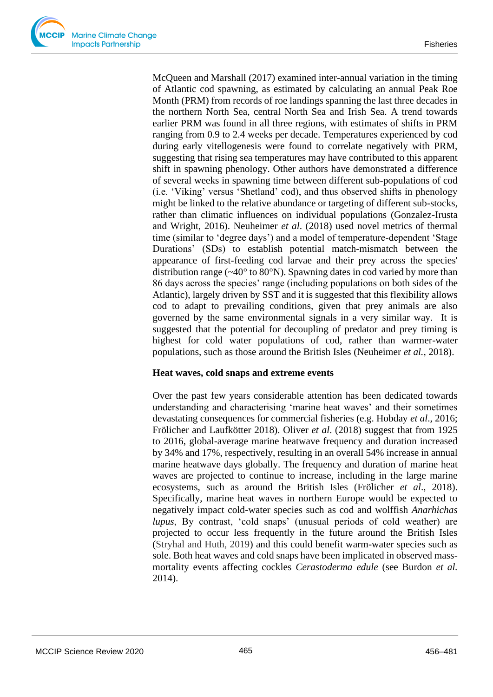McQueen and Marshall (2017) examined inter-annual variation in the timing of Atlantic cod spawning, as estimated by calculating an annual Peak Roe Month (PRM) from records of roe landings spanning the last three decades in the northern North Sea, central North Sea and Irish Sea. A trend towards earlier PRM was found in all three regions, with estimates of shifts in PRM ranging from 0.9 to 2.4 weeks per decade. Temperatures experienced by cod during early vitellogenesis were found to correlate negatively with PRM, suggesting that rising sea temperatures may have contributed to this apparent shift in spawning phenology. Other authors have demonstrated a difference of several weeks in spawning time between different sub-populations of cod (i.e. 'Viking' versus 'Shetland' cod), and thus observed shifts in phenology might be linked to the relative abundance or targeting of different sub-stocks, rather than climatic influences on individual populations (Gonzalez-Irusta and Wright, 2016). Neuheimer *et al*. (2018) used novel metrics of thermal time (similar to 'degree days') and a model of temperature-dependent 'Stage Durations' (SDs) to establish potential match-mismatch between the appearance of first-feeding cod larvae and their prey across the species' distribution range (~40° to 80°N). Spawning dates in cod varied by more than 86 days across the species' range (including populations on both sides of the Atlantic), largely driven by SST and it is suggested that this flexibility allows cod to adapt to prevailing conditions, given that prey animals are also governed by the same environmental signals in a very similar way. It is suggested that the potential for decoupling of predator and prey timing is highest for cold water populations of cod, rather than warmer-water populations, such as those around the British Isles (Neuheimer *et al.,* 2018).

#### **Heat waves, cold snaps and extreme events**

Over the past few years considerable attention has been dedicated towards understanding and characterising 'marine heat waves' and their sometimes devastating consequences for commercial fisheries (e.g. Hobday *et al*., 2016; Frölicher and Laufkötter 2018). Oliver *et al*. (2018) suggest that from 1925 to 2016, global-average marine heatwave frequency and duration increased by 34% and 17%, respectively, resulting in an overall 54% increase in annual marine heatwave days globally. The frequency and duration of marine heat waves are projected to continue to increase, including in the large marine ecosystems, such as around the British Isles (Frölicher *et al*., 2018). Specifically, marine heat waves in northern Europe would be expected to negatively impact cold-water species such as cod and wolffish *Anarhichas lupus*, By contrast, 'cold snaps' (unusual periods of cold weather) are projected to occur less frequently in the future around the British Isles (Stryhal and Huth, 2019) and this could benefit warm-water species such as sole. Both heat waves and cold snaps have been implicated in observed massmortality events affecting cockles *Cerastoderma edule* (see Burdon *et al.* 2014).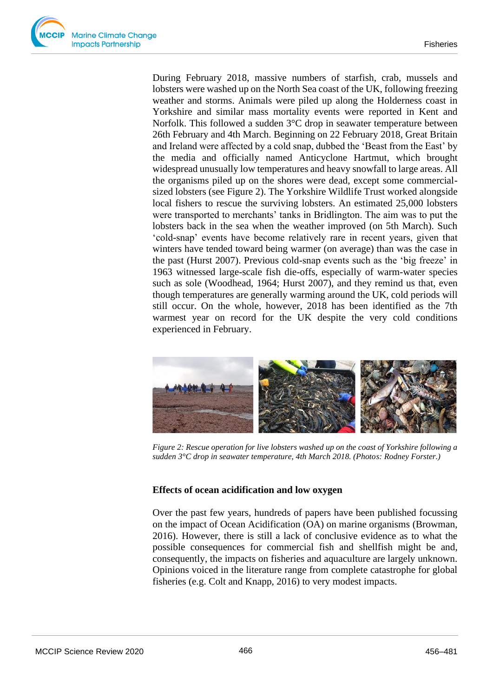During February 2018, massive numbers of starfish, crab, mussels and lobsters were washed up on the North Sea coast of the UK, following freezing weather and storms. Animals were piled up along the Holderness coast in Yorkshire and similar mass mortality events were reported in Kent and Norfolk. This followed a sudden 3<sup>o</sup>C drop in seawater temperature between 26th February and 4th March. Beginning on 22 February 2018, Great Britain and Ireland were affected by a cold snap, dubbed the 'Beast from the East' by the media and officially named Anticyclone Hartmut, which brought widespread unusually low temperatures and heavy snowfall to large areas. All the organisms piled up on the shores were dead, except some commercialsized lobsters (see Figure 2). The Yorkshire Wildlife Trust worked alongside local fishers to rescue the surviving lobsters. An estimated 25,000 lobsters were transported to merchants' tanks in Bridlington. The aim was to put the lobsters back in the sea when the weather improved (on 5th March). Such 'cold-snap' events have become relatively rare in recent years, given that winters have tended toward being warmer (on average) than was the case in the past (Hurst 2007). Previous cold-snap events such as the 'big freeze' in 1963 witnessed large-scale fish die-offs, especially of warm-water species such as sole (Woodhead, 1964; Hurst 2007), and they remind us that, even though temperatures are generally warming around the UK, cold periods will still occur. On the whole, however, 2018 has been identified as the 7th warmest year on record for the UK despite the very cold conditions experienced in February.



*Figure 2: Rescue operation for live lobsters washed up on the coast of Yorkshire following a sudden 3°C drop in seawater temperature, 4th March 2018. (Photos: Rodney Forster.)*

## **Effects of ocean acidification and low oxygen**

Over the past few years, hundreds of papers have been published focussing on the impact of Ocean Acidification (OA) on marine organisms (Browman, 2016). However, there is still a lack of conclusive evidence as to what the possible consequences for commercial fish and shellfish might be and, consequently, the impacts on fisheries and aquaculture are largely unknown. Opinions voiced in the literature range from complete catastrophe for global fisheries (e.g. Colt and Knapp, 2016) to very modest impacts.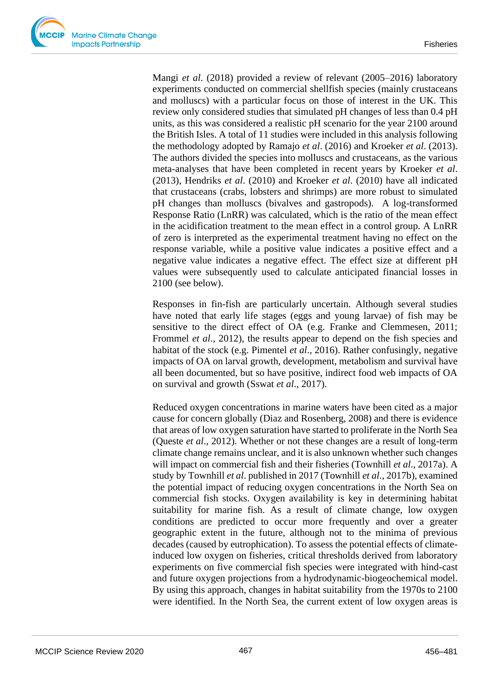Mangi *et al*. (2018) provided a review of relevant (2005–2016) laboratory experiments conducted on commercial shellfish species (mainly crustaceans and molluscs) with a particular focus on those of interest in the UK. This review only considered studies that simulated pH changes of less than 0.4 pH units, as this was considered a realistic pH scenario for the year 2100 around the British Isles. A total of 11 studies were included in this analysis following the methodology adopted by Ramajo *et al*. (2016) and Kroeker *et al*. (2013). The authors divided the species into molluscs and crustaceans, as the various meta-analyses that have been completed in recent years by Kroeker *et al*. (2013), Hendriks *et al*. (2010) and Kroeker *et al*. (2010) have all indicated that crustaceans (crabs, lobsters and shrimps) are more robust to simulated pH changes than molluscs (bivalves and gastropods). A log-transformed Response Ratio (LnRR) was calculated, which is the ratio of the mean effect in the acidification treatment to the mean effect in a control group. A LnRR of zero is interpreted as the experimental treatment having no effect on the response variable, while a positive value indicates a positive effect and a negative value indicates a negative effect. The effect size at different pH values were subsequently used to calculate anticipated financial losses in 2100 (see below).

Responses in fin-fish are particularly uncertain. Although several studies have noted that early life stages (eggs and young larvae) of fish may be sensitive to the direct effect of OA (e.g. Franke and Clemmesen, 2011; Frommel *et al.*, 2012), the results appear to depend on the fish species and habitat of the stock (e.g. Pimentel *et al*., 2016). Rather confusingly, negative impacts of OA on larval growth, development, metabolism and survival have all been documented, but so have positive, indirect food web impacts of OA on survival and growth (Sswat *et al*., 2017).

Reduced oxygen concentrations in marine waters have been cited as a major cause for concern globally (Diaz and Rosenberg, 2008) and there is evidence that areas of low oxygen saturation have started to proliferate in the North Sea (Queste *et al*., 2012). Whether or not these changes are a result of long-term climate change remains unclear, and it is also unknown whether such changes will impact on commercial fish and their fisheries (Townhill *et al*., 2017a). A study by Townhill *et al*. published in 2017 (Townhill *et al*., 2017b), examined the potential impact of reducing oxygen concentrations in the North Sea on commercial fish stocks. Oxygen availability is key in determining habitat suitability for marine fish. As a result of climate change, low oxygen conditions are predicted to occur more frequently and over a greater geographic extent in the future, although not to the minima of previous decades (caused by eutrophication). To assess the potential effects of climateinduced low oxygen on fisheries, critical thresholds derived from laboratory experiments on five commercial fish species were integrated with hind-cast and future oxygen projections from a hydrodynamic-biogeochemical model. By using this approach, changes in habitat suitability from the 1970s to 2100 were identified. In the North Sea, the current extent of low oxygen areas is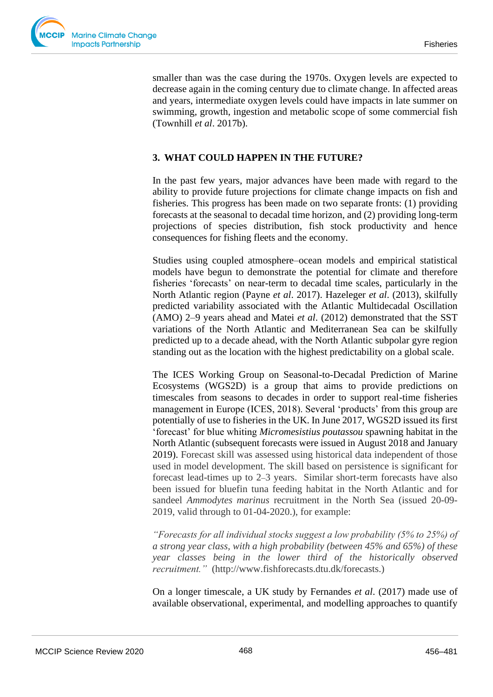smaller than was the case during the 1970s. Oxygen levels are expected to decrease again in the coming century due to climate change. In affected areas and years, intermediate oxygen levels could have impacts in late summer on swimming, growth, ingestion and metabolic scope of some commercial fish (Townhill *et al*. 2017b).

## **3. WHAT COULD HAPPEN IN THE FUTURE?**

In the past few years, major advances have been made with regard to the ability to provide future projections for climate change impacts on fish and fisheries. This progress has been made on two separate fronts: (1) providing forecasts at the seasonal to decadal time horizon, and (2) providing long-term projections of species distribution, fish stock productivity and hence consequences for fishing fleets and the economy.

Studies using coupled atmosphere–ocean models and empirical statistical models have begun to demonstrate the potential for climate and therefore fisheries 'forecasts' on near-term to decadal time scales, particularly in the North Atlantic region (Payne *et al*. 2017). Hazeleger *et al*. (2013), skilfully predicted variability associated with the Atlantic Multidecadal Oscillation (AMO) 2–9 years ahead and Matei *et al*. (2012) demonstrated that the SST variations of the North Atlantic and Mediterranean Sea can be skilfully predicted up to a decade ahead, with the North Atlantic subpolar gyre region standing out as the location with the highest predictability on a global scale.

The ICES Working Group on Seasonal-to-Decadal Prediction of Marine Ecosystems (WGS2D) is a group that aims to provide predictions on timescales from seasons to decades in order to support real-time fisheries management in Europe (ICES, 2018). Several 'products' from this group are potentially of use to fisheries in the UK. In June 2017, WGS2D issued its first 'forecast' for blue whiting *Micromesistius poutassou* spawning habitat in the North Atlantic (subsequent forecasts were issued in August 2018 and January 2019). Forecast skill was assessed using historical data independent of those used in model development. The skill based on persistence is significant for forecast lead-times up to 2–3 years. Similar short-term forecasts have also been issued for bluefin tuna feeding habitat in the North Atlantic and for sandeel *Ammodytes marinus* recruitment in the North Sea (issued 20-09- 2019, valid through to 01-04-2020.), for example:

*"Forecasts for all individual stocks suggest a low probability (5% to 25%) of a strong year class, with a high probability (between 45% and 65%) of these year classes being in the lower third of the historically observed recruitment."* (http://www.fishforecasts.dtu.dk/forecasts.)

On a longer timescale, a UK study by Fernandes *et al*. (2017) made use of available observational, experimental, and modelling approaches to quantify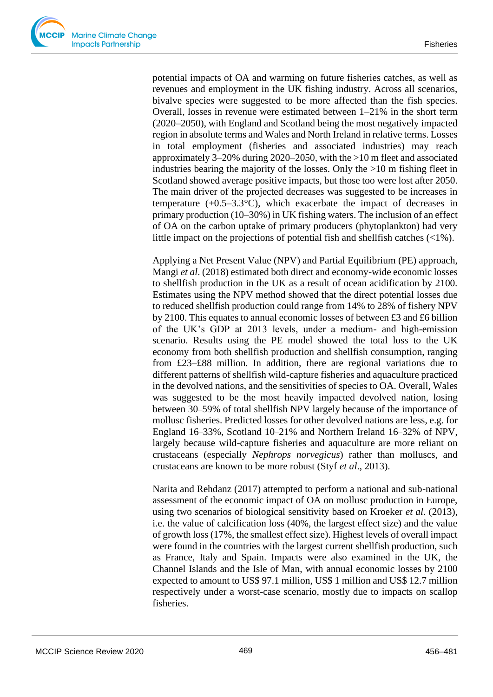potential impacts of OA and warming on future fisheries catches, as well as revenues and employment in the UK fishing industry. Across all scenarios, bivalve species were suggested to be more affected than the fish species. Overall, losses in revenue were estimated between 1–21% in the short term (2020–2050), with England and Scotland being the most negatively impacted region in absolute terms and Wales and North Ireland in relative terms. Losses in total employment (fisheries and associated industries) may reach approximately 3–20% during 2020–2050, with the >10 m fleet and associated industries bearing the majority of the losses. Only the >10 m fishing fleet in Scotland showed average positive impacts, but those too were lost after 2050. The main driver of the projected decreases was suggested to be increases in temperature  $(+0.5-3.3^{\circ}C)$ , which exacerbate the impact of decreases in primary production (10–30%) in UK fishing waters. The inclusion of an effect of OA on the carbon uptake of primary producers (phytoplankton) had very little impact on the projections of potential fish and shellfish catches (<1%).

Applying a Net Present Value (NPV) and Partial Equilibrium (PE) approach, Mangi *et al*. (2018) estimated both direct and economy-wide economic losses to shellfish production in the UK as a result of ocean acidification by 2100. Estimates using the NPV method showed that the direct potential losses due to reduced shellfish production could range from 14% to 28% of fishery NPV by 2100. This equates to annual economic losses of between £3 and £6 billion of the UK's GDP at 2013 levels, under a medium- and high-emission scenario. Results using the PE model showed the total loss to the UK economy from both shellfish production and shellfish consumption, ranging from £23–£88 million. In addition, there are regional variations due to different patterns of shellfish wild-capture fisheries and aquaculture practiced in the devolved nations, and the sensitivities of species to OA. Overall, Wales was suggested to be the most heavily impacted devolved nation, losing between 30–59% of total shellfish NPV largely because of the importance of mollusc fisheries. Predicted losses for other devolved nations are less, e.g. for England 16–33%, Scotland 10–21% and Northern Ireland 16–32% of NPV, largely because wild-capture fisheries and aquaculture are more reliant on crustaceans (especially *Nephrops norvegicus*) rather than molluscs, and crustaceans are known to be more robust (Styf *et al*., 2013).

Narita and Rehdanz (2017) attempted to perform a national and sub-national assessment of the economic impact of OA on mollusc production in Europe, using two scenarios of biological sensitivity based on Kroeker *et al*. (2013), i.e. the value of calcification loss (40%, the largest effect size) and the value of growth loss (17%, the smallest effect size). Highest levels of overall impact were found in the countries with the largest current shellfish production, such as France, Italy and Spain. Impacts were also examined in the UK, the Channel Islands and the Isle of Man, with annual economic losses by 2100 expected to amount to US\$ 97.1 million, US\$ 1 million and US\$ 12.7 million respectively under a worst-case scenario, mostly due to impacts on scallop fisheries.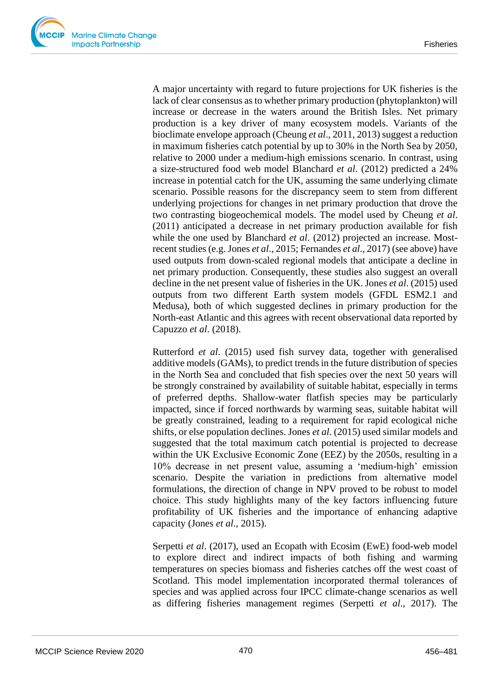A major uncertainty with regard to future projections for UK fisheries is the lack of clear consensus as to whether primary production (phytoplankton) will increase or decrease in the waters around the British Isles. Net primary production is a key driver of many ecosystem models. Variants of the bioclimate envelope approach (Cheung *et al*., 2011, 2013) suggest a reduction in maximum fisheries catch potential by up to 30% in the North Sea by 2050, relative to 2000 under a medium-high emissions scenario. In contrast, using a size-structured food web model Blanchard *et al*. (2012) predicted a 24% increase in potential catch for the UK, assuming the same underlying climate scenario. Possible reasons for the discrepancy seem to stem from different underlying projections for changes in net primary production that drove the two contrasting biogeochemical models. The model used by Cheung *et al*. (2011) anticipated a decrease in net primary production available for fish while the one used by Blanchard *et al*. (2012) projected an increase. Mostrecent studies (e.g. Jones *et al*., 2015; Fernandes *et al*., 2017) (see above) have used outputs from down-scaled regional models that anticipate a decline in net primary production. Consequently, these studies also suggest an overall decline in the net present value of fisheries in the UK. Jones *et al*. (2015) used outputs from two different Earth system models (GFDL ESM2.1 and Medusa), both of which suggested declines in primary production for the North-east Atlantic and this agrees with recent observational data reported by Capuzzo *et al*. (2018).

Rutterford *et al*. (2015) used fish survey data, together with generalised additive models (GAMs), to predict trends in the future distribution of species in the North Sea and concluded that fish species over the next 50 years will be strongly constrained by availability of suitable habitat, especially in terms of preferred depths. Shallow-water flatfish species may be particularly impacted, since if forced northwards by warming seas, suitable habitat will be greatly constrained, leading to a requirement for rapid ecological niche shifts, or else population declines. Jones *et al*. (2015) used similar models and suggested that the total maximum catch potential is projected to decrease within the UK Exclusive Economic Zone (EEZ) by the 2050s, resulting in a 10% decrease in net present value, assuming a 'medium-high' emission scenario. Despite the variation in predictions from alternative model formulations, the direction of change in NPV proved to be robust to model choice. This study highlights many of the key factors influencing future profitability of UK fisheries and the importance of enhancing adaptive capacity (Jones *et al*., 2015).

Serpetti *et al*. (2017), used an Ecopath with Ecosim (EwE) food-web model to explore direct and indirect impacts of both fishing and warming temperatures on species biomass and fisheries catches off the west coast of Scotland. This model implementation incorporated thermal tolerances of species and was applied across four IPCC climate-change scenarios as well as differing fisheries management regimes (Serpetti *et al*., 2017). The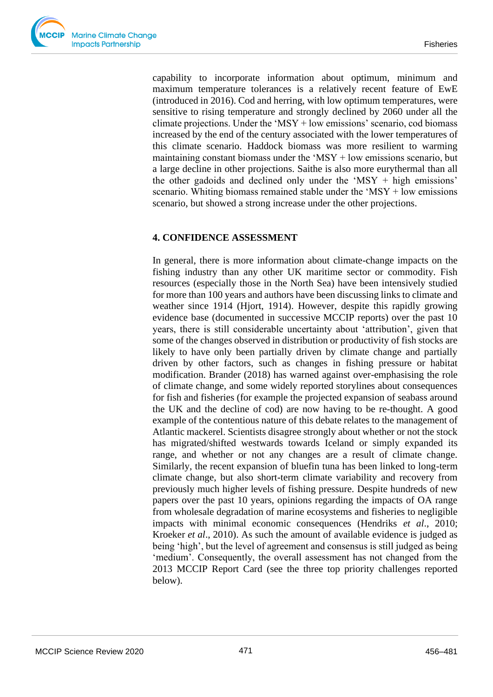capability to incorporate information about optimum, minimum and maximum temperature tolerances is a relatively recent feature of EwE (introduced in 2016). Cod and herring, with low optimum temperatures, were sensitive to rising temperature and strongly declined by 2060 under all the climate projections. Under the 'MSY + low emissions' scenario, cod biomass increased by the end of the century associated with the lower temperatures of this climate scenario. Haddock biomass was more resilient to warming maintaining constant biomass under the  $MSY + low$  emissions scenario, but a large decline in other projections. Saithe is also more eurythermal than all the other gadoids and declined only under the 'MSY  $+$  high emissions' scenario. Whiting biomass remained stable under the 'MSY + low emissions scenario, but showed a strong increase under the other projections.

## **4. CONFIDENCE ASSESSMENT**

In general, there is more information about climate-change impacts on the fishing industry than any other UK maritime sector or commodity. Fish resources (especially those in the North Sea) have been intensively studied for more than 100 years and authors have been discussing links to climate and weather since 1914 (Hjort, 1914). However, despite this rapidly growing evidence base (documented in successive MCCIP reports) over the past 10 years, there is still considerable uncertainty about 'attribution', given that some of the changes observed in distribution or productivity of fish stocks are likely to have only been partially driven by climate change and partially driven by other factors, such as changes in fishing pressure or habitat modification. Brander (2018) has warned against over-emphasising the role of climate change, and some widely reported storylines about consequences for fish and fisheries (for example the projected expansion of seabass around the UK and the decline of cod) are now having to be re-thought. A good example of the contentious nature of this debate relates to the management of Atlantic mackerel. Scientists disagree strongly about whether or not the stock has migrated/shifted westwards towards Iceland or simply expanded its range, and whether or not any changes are a result of climate change. Similarly, the recent expansion of bluefin tuna has been linked to long-term climate change, but also short-term climate variability and recovery from previously much higher levels of fishing pressure. Despite hundreds of new papers over the past 10 years, opinions regarding the impacts of OA range from wholesale degradation of marine ecosystems and fisheries to negligible impacts with minimal economic consequences (Hendriks *et al*., 2010; Kroeker *et al*., 2010). As such the amount of available evidence is judged as being 'high', but the level of agreement and consensus is still judged as being 'medium'. Consequently, the overall assessment has not changed from the 2013 MCCIP Report Card (see the three top priority challenges reported below).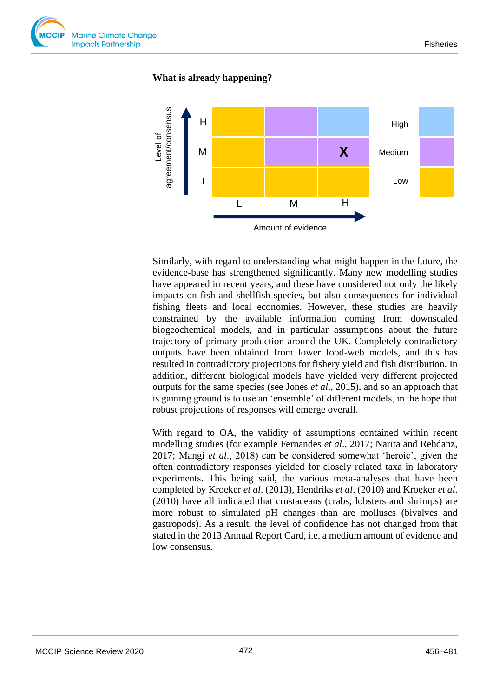

#### **What is already happening?**



Similarly, with regard to understanding what might happen in the future, the evidence-base has strengthened significantly. Many new modelling studies have appeared in recent years, and these have considered not only the likely impacts on fish and shellfish species, but also consequences for individual fishing fleets and local economies. However, these studies are heavily constrained by the available information coming from downscaled biogeochemical models, and in particular assumptions about the future trajectory of primary production around the UK. Completely contradictory outputs have been obtained from lower food-web models, and this has resulted in contradictory projections for fishery yield and fish distribution. In addition, different biological models have yielded very different projected outputs for the same species (see Jones *et al*., 2015), and so an approach that is gaining ground is to use an 'ensemble' of different models, in the hope that robust projections of responses will emerge overall.

With regard to OA, the validity of assumptions contained within recent modelling studies (for example Fernandes *et al*., 2017; Narita and Rehdanz, 2017; Mangi *et al*., 2018) can be considered somewhat 'heroic', given the often contradictory responses yielded for closely related taxa in laboratory experiments. This being said, the various meta-analyses that have been completed by Kroeker *et al*. (2013), Hendriks *et al*. (2010) and Kroeker *et al*. (2010) have all indicated that crustaceans (crabs, lobsters and shrimps) are more robust to simulated pH changes than are molluscs (bivalves and gastropods). As a result, the level of confidence has not changed from that stated in the 2013 Annual Report Card, i.e. a medium amount of evidence and low consensus.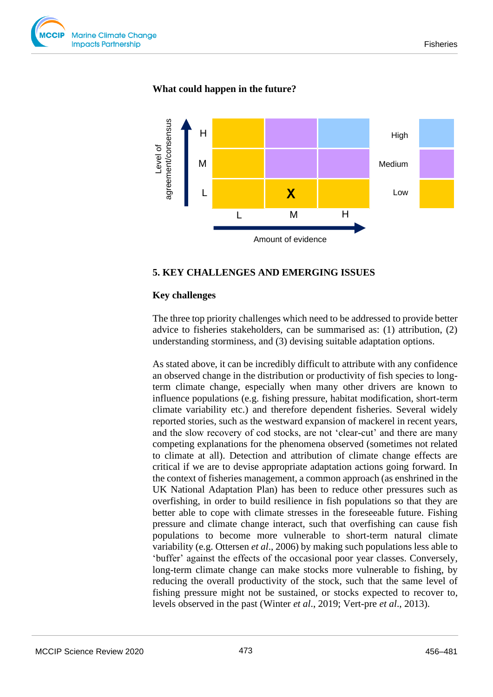

## **What could happen in the future?**



#### **5. KEY CHALLENGES AND EMERGING ISSUES**

#### **Key challenges**

The three top priority challenges which need to be addressed to provide better advice to fisheries stakeholders, can be summarised as: (1) attribution, (2) understanding storminess, and (3) devising suitable adaptation options.

As stated above, it can be incredibly difficult to attribute with any confidence an observed change in the distribution or productivity of fish species to longterm climate change, especially when many other drivers are known to influence populations (e.g. fishing pressure, habitat modification, short-term climate variability etc.) and therefore dependent fisheries. Several widely reported stories, such as the westward expansion of mackerel in recent years, and the slow recovery of cod stocks, are not 'clear-cut' and there are many competing explanations for the phenomena observed (sometimes not related to climate at all). Detection and attribution of climate change effects are critical if we are to devise appropriate adaptation actions going forward. In the context of fisheries management, a common approach (as enshrined in the UK National Adaptation Plan) has been to reduce other pressures such as overfishing, in order to build resilience in fish populations so that they are better able to cope with climate stresses in the foreseeable future. Fishing pressure and climate change interact, such that overfishing can cause fish populations to become more vulnerable to short-term natural climate variability (e.g. Ottersen *et al*., 2006) by making such populations less able to 'buffer' against the effects of the occasional poor year classes. Conversely, long-term climate change can make stocks more vulnerable to fishing, by reducing the overall productivity of the stock, such that the same level of fishing pressure might not be sustained, or stocks expected to recover to, levels observed in the past (Winter *et al*., 2019; Vert-pre *et al*., 2013).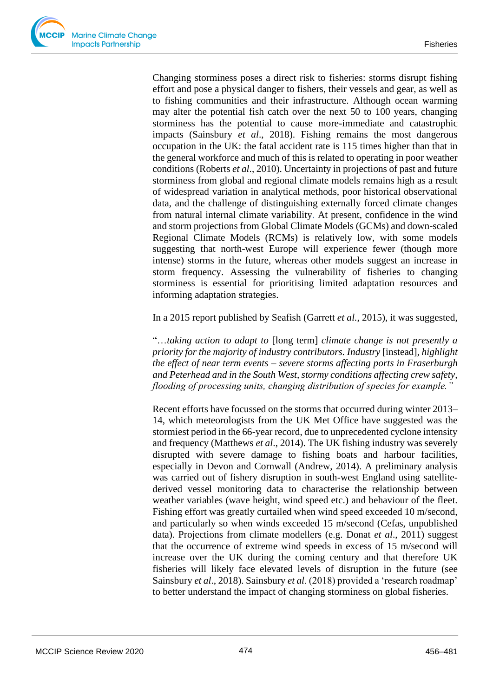Changing storminess poses a direct risk to fisheries: storms disrupt fishing effort and pose a physical danger to fishers, their vessels and gear, as well as to fishing communities and their infrastructure. Although ocean warming may alter the potential fish catch over the next 50 to 100 years, changing storminess has the potential to cause more-immediate and catastrophic impacts (Sainsbury *et al*., 2018). Fishing remains the most dangerous occupation in the UK: the fatal accident rate is 115 times higher than that in the general workforce and much of this is related to operating in poor weather conditions (Roberts *et al*., 2010). Uncertainty in projections of past and future storminess from global and regional climate models remains high as a result of widespread variation in analytical methods, poor historical observational data, and the challenge of distinguishing externally forced climate changes from natural internal climate variability. At present, confidence in the wind and storm projections from Global Climate Models (GCMs) and down-scaled Regional Climate Models (RCMs) is relatively low, with some models suggesting that north-west Europe will experience fewer (though more intense) storms in the future, whereas other models suggest an increase in storm frequency. Assessing the vulnerability of fisheries to changing storminess is essential for prioritising limited adaptation resources and informing adaptation strategies.

In a 2015 report published by Seafish (Garrett *et al.*, 2015), it was suggested,

"…*taking action to adapt to* [long term] *climate change is not presently a priority for the majority of industry contributors. Industry* [instead]*, highlight the effect of near term events – severe storms affecting ports in Fraserburgh and Peterhead and in the South West, stormy conditions affecting crew safety, flooding of processing units, changing distribution of species for example."*

Recent efforts have focussed on the storms that occurred during winter 2013– 14, which meteorologists from the UK Met Office have suggested was the stormiest period in the 66-year record, due to unprecedented cyclone intensity and frequency (Matthews *et al*., 2014). The UK fishing industry was severely disrupted with severe damage to fishing boats and harbour facilities, especially in Devon and Cornwall (Andrew, 2014). A preliminary analysis was carried out of fishery disruption in south-west England using satellitederived vessel monitoring data to characterise the relationship between weather variables (wave height, wind speed etc.) and behaviour of the fleet. Fishing effort was greatly curtailed when wind speed exceeded 10 m/second, and particularly so when winds exceeded 15 m/second (Cefas, unpublished data). Projections from climate modellers (e.g. Donat *et al*., 2011) suggest that the occurrence of extreme wind speeds in excess of 15 m/second will increase over the UK during the coming century and that therefore UK fisheries will likely face elevated levels of disruption in the future (see Sainsbury *et al*., 2018). Sainsbury *et al*. (2018) provided a 'research roadmap' to better understand the impact of changing storminess on global fisheries.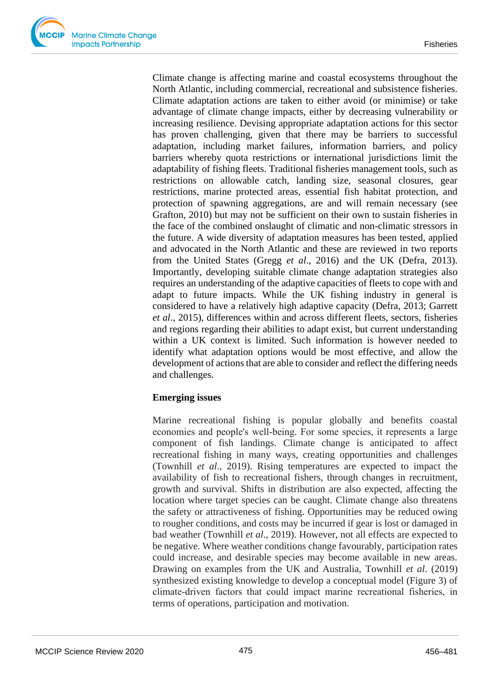Climate change is affecting marine and coastal ecosystems throughout the North Atlantic, including commercial, recreational and subsistence fisheries. Climate adaptation actions are taken to either avoid (or minimise) or take advantage of climate change impacts, either by decreasing vulnerability or increasing resilience. Devising appropriate adaptation actions for this sector has proven challenging, given that there may be barriers to successful adaptation, including market failures, information barriers, and policy barriers whereby quota restrictions or international jurisdictions limit the adaptability of fishing fleets. Traditional fisheries management tools, such as restrictions on allowable catch, landing size, seasonal closures, gear restrictions, marine protected areas, essential fish habitat protection, and protection of spawning aggregations, are and will remain necessary (see Grafton, 2010) but may not be sufficient on their own to sustain fisheries in the face of the combined onslaught of climatic and non-climatic stressors in the future. A wide diversity of adaptation measures has been tested, applied and advocated in the North Atlantic and these are reviewed in two reports from the United States (Gregg *et al*., 2016) and the UK (Defra, 2013). Importantly, developing suitable climate change adaptation strategies also requires an understanding of the adaptive capacities of fleets to cope with and adapt to future impacts. While the UK fishing industry in general is considered to have a relatively high adaptive capacity (Defra, 2013; Garrett *et al*., 2015), differences within and across different fleets, sectors, fisheries and regions regarding their abilities to adapt exist, but current understanding within a UK context is limited. Such information is however needed to identify what adaptation options would be most effective, and allow the development of actions that are able to consider and reflect the differing needs and challenges.

# **Emerging issues**

Marine recreational fishing is popular globally and benefits coastal economies and people's well‐being. For some species, it represents a large component of fish landings. Climate change is anticipated to affect recreational fishing in many ways, creating opportunities and challenges (Townhill *et al*., 2019). Rising temperatures are expected to impact the availability of fish to recreational fishers, through changes in recruitment, growth and survival. Shifts in distribution are also expected, affecting the location where target species can be caught. Climate change also threatens the safety or attractiveness of fishing. Opportunities may be reduced owing to rougher conditions, and costs may be incurred if gear is lost or damaged in bad weather (Townhill *et al*., 2019). However, not all effects are expected to be negative. Where weather conditions change favourably, participation rates could increase, and desirable species may become available in new areas. Drawing on examples from the UK and Australia, Townhill *et al*. (2019) synthesized existing knowledge to develop a conceptual model (Figure 3) of climate‐driven factors that could impact marine recreational fisheries, in terms of operations, participation and motivation.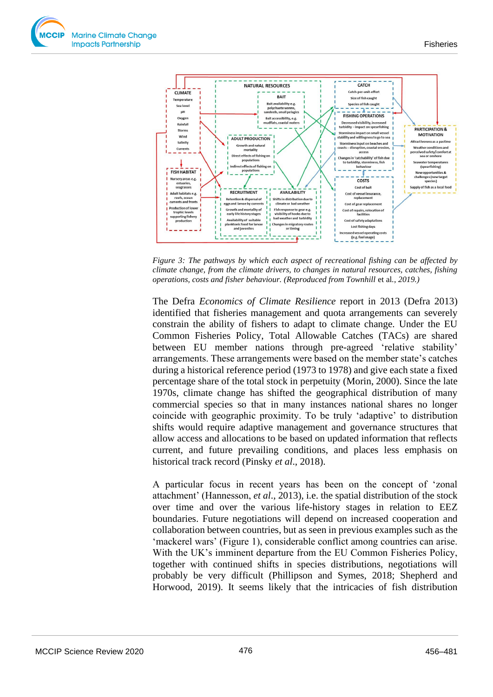

*Figure 3: The pathways by which each aspect of recreational fishing can be affected by climate change, from the climate drivers, to changes in natural resources, catches, fishing operations, costs and fisher behaviour. (Reproduced from Townhill* et al*.*, *2019.)*

The Defra *Economics of Climate Resilience* report in 2013 (Defra 2013) identified that fisheries management and quota arrangements can severely constrain the ability of fishers to adapt to climate change. Under the EU Common Fisheries Policy, Total Allowable Catches (TACs) are shared between EU member nations through pre-agreed 'relative stability' arrangements. These arrangements were based on the member state's catches during a historical reference period (1973 to 1978) and give each state a fixed percentage share of the total stock in perpetuity (Morin, 2000). Since the late 1970s, climate change has shifted the geographical distribution of many commercial species so that in many instances national shares no longer coincide with geographic proximity. To be truly 'adaptive' to distribution shifts would require adaptive management and governance structures that allow access and allocations to be based on updated information that reflects current, and future prevailing conditions, and places less emphasis on historical track record (Pinsky *et al*., 2018).

A particular focus in recent years has been on the concept of 'zonal attachment' (Hannesson, *et al*., 2013), i.e. the spatial distribution of the stock over time and over the various life-history stages in relation to EEZ boundaries. Future negotiations will depend on increased cooperation and collaboration between countries, but as seen in previous examples such as the 'mackerel wars' (Figure 1), considerable conflict among countries can arise. With the UK's imminent departure from the EU Common Fisheries Policy, together with continued shifts in species distributions, negotiations will probably be very difficult (Phillipson and Symes, 2018; Shepherd and Horwood, 2019). It seems likely that the intricacies of fish distribution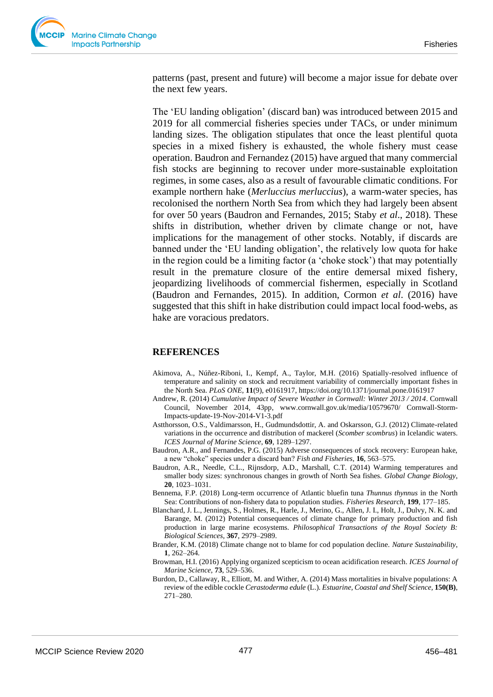patterns (past, present and future) will become a major issue for debate over the next few years.

The 'EU landing obligation' (discard ban) was introduced between 2015 and 2019 for all commercial fisheries species under TACs, or under minimum landing sizes. The obligation stipulates that once the least plentiful quota species in a mixed fishery is exhausted, the whole fishery must cease operation. Baudron and Fernandez (2015) have argued that many commercial fish stocks are beginning to recover under more-sustainable exploitation regimes, in some cases, also as a result of favourable climatic conditions. For example northern hake (*Merluccius merluccius*), a warm-water species, has recolonised the northern North Sea from which they had largely been absent for over 50 years (Baudron and Fernandes, 2015; Staby *et al*., 2018). These shifts in distribution, whether driven by climate change or not, have implications for the management of other stocks. Notably, if discards are banned under the 'EU landing obligation', the relatively low quota for hake in the region could be a limiting factor (a 'choke stock') that may potentially result in the premature closure of the entire demersal mixed fishery, jeopardizing livelihoods of commercial fishermen, especially in Scotland (Baudron and Fernandes, 2015). In addition, Cormon *et al*. (2016) have suggested that this shift in hake distribution could impact local food-webs, as hake are voracious predators.

#### **REFERENCES**

- Akimova, A., Núñez-Riboni, I., Kempf, A., Taylor, M.H. (2016) Spatially-resolved influence of temperature and salinity on stock and recruitment variability of commercially important fishes in the North Sea. *PLoS ONE*, **11**(9), e0161917, <https://doi.org/10.1371/journal.pone.0161917>
- Andrew, R. (2014) *Cumulative Impact of Severe Weather in Cornwall: Winter 2013 / 2014*. Cornwall Council, November 2014, 43pp, www.cornwall.gov.uk/media/10579670/ Cornwall-Storm-Impacts-update-19-Nov-2014-V1-3.pdf
- Astthorsson, O.S., Valdimarsson, H., Gudmundsdottir, A. and Oskarsson, G.J. (2012) Climate-related variations in the occurrence and distribution of mackerel (*Scomber scombrus*) in Icelandic waters. *ICES Journal of Marine Science*, **69**, 1289–1297.
- Baudron, A.R., and Fernandes, P.G. (2015) Adverse consequences of stock recovery: European hake, a new "choke" species under a discard ban? *Fish and Fisheries*, **16**, 563–575.
- Baudron, A.R., Needle, C.L., Rijnsdorp, A.D., Marshall, C.T. (2014) Warming temperatures and smaller body sizes: synchronous changes in growth of North Sea fishes. *Global Change Biology*, **20**, 1023–1031.
- Bennema, F.P. (2018) Long-term occurrence of Atlantic bluefin tuna *Thunnus thynnus* in the North Sea: Contributions of non-fishery data to population studies. *Fisheries Research*, **199**, 177–185.
- Blanchard, J. L., Jennings, S., Holmes, R., Harle, J., Merino, G., Allen, J. I., Holt, J., Dulvy, N. K. and Barange, M. (2012) Potential consequences of climate change for primary production and fish production in large marine ecosystems. *Philosophical Transactions of the Royal Society B: Biological Sciences*, **367**, 2979–2989.
- Brander, K.M. (2018) Climate change not to blame for cod population decline. *Nature Sustainability*, **1**, 262–264.
- Browman, H.I. (2016) Applying organized scepticism to ocean acidification research. *ICES Journal of Marine Science*, **73**, 529–536.
- Burdon, D., Callaway, R., Elliott, M. and Wither, A. (2014) Mass mortalities in bivalve populations: A review of the edible cockle *Cerastoderma edule* (L.). *Estuarine, Coastal and Shelf Science,* **150(B)**, 271–280.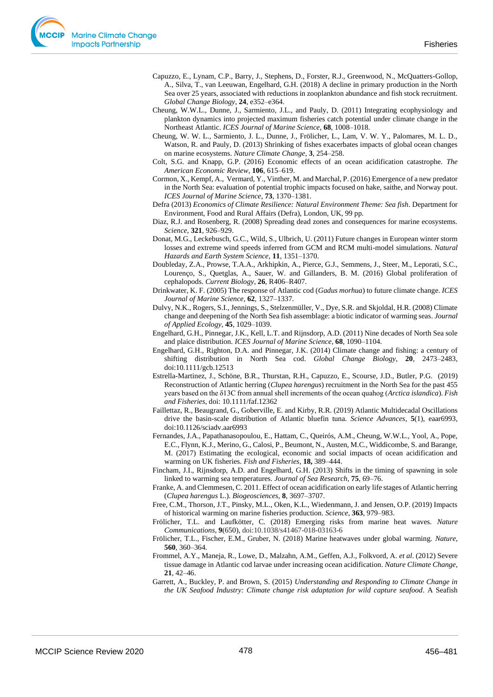- Capuzzo, E., Lynam, C.P., Barry, J., Stephens, D., Forster, R.J., Greenwood, N., McQuatters-Gollop, A., Silva, T., van Leeuwan, Engelhard, G.H. (2018) A decline in primary production in the North Sea over 25 years, associated with reductions in zooplankton abundance and fish stock recruitment. *Global Change Biology*, **24**, e352–e364.
- Cheung, W.W.L., Dunne, J., Sarmiento, J.L., and Pauly, D. (2011) Integrating ecophysiology and plankton dynamics into projected maximum fisheries catch potential under climate change in the Northeast Atlantic. *ICES Journal of Marine Science*, **68**, 1008–1018.
- Cheung, W. W. L., Sarmiento, J. L., Dunne, J., Frölicher, L., Lam, V. W. Y., Palomares, M. L. D., Watson, R. and Pauly, D. (2013) Shrinking of fishes exacerbates impacts of global ocean changes on marine ecosystems. *Nature Climate Change*, **3**, 254–258.
- Colt, S.G. and Knapp, G.P. (2016) Economic effects of an ocean acidification catastrophe. *The American Economic Review*, **106**, 615–619.
- Cormon, X., Kempf, A., Vermard, Y., Vinther, M. and Marchal, P. (2016[\) Emergence of a new predator](http://orbit.dtu.dk/en/publications/emergence-of-a-new-predator-in-the-north-sea-evaluation-of-potential-trophic-impacts-focused-on-hake-saithe-and-norway-pout(8bde8f72-9f97-47e5-9fce-6edf99fb909c).html)  [in the North Sea: evaluation of potential trophic impacts focused on hake, saithe, and Norway pout.](http://orbit.dtu.dk/en/publications/emergence-of-a-new-predator-in-the-north-sea-evaluation-of-potential-trophic-impacts-focused-on-hake-saithe-and-norway-pout(8bde8f72-9f97-47e5-9fce-6edf99fb909c).html) *ICES Journal of Marine Science*, **73**, 1370–1381.
- Defra (2013) *Economics of Climate Resilience: Natural Environment Theme: Sea fish*. Department for Environment, Food and Rural Affairs (Defra), London, UK, 99 pp.
- Diaz, R.J. and Rosenberg, R. (2008) Spreading dead zones and consequences for marine ecosystems. *Science*, **321**, 926–929.
- Donat, M.G., Leckebusch, G.C., Wild, S., Ulbrich, U. (2011) Future changes in European winter storm losses and extreme wind speeds inferred from GCM and RCM multi-model simulations. *Natural Hazards and Earth System Science*, **11**, 1351–1370.
- Doubleday, Z.A., Prowse, T.A.A., Arkhipkin, A., Pierce, G.J., Semmens, J., Steer, M., Leporati, S.C., Lourenço, S., Quetglas, A., Sauer, W. and Gillanders, B. M. (2016) Global proliferation of cephalopods. *Current Biology*, **26**, R406–R407.
- Drinkwater, K. F. (2005) The response of Atlantic cod (*Gadus morhua*) to future climate change. *ICES Journal of Marine Science*, **62**, 1327–1337.
- Dulvy, N.K., Rogers, S.I., Jennings, S., Stelzenmüller, V., Dye, S.R. and Skjoldal, H.R. (2008) Climate change and deepening of the North Sea fish assemblage: a biotic indicator of warming seas. *Journal of Applied Ecology*, **45**, 1029–1039.
- Engelhard, G.H., Pinnegar, J.K., Kell, L.T. and Rijnsdorp, A.D. (2011) Nine decades of North Sea sole and plaice distribution. *ICES Journal of Marine Science*, **68**, 1090–1104.
- Engelhard, G.H., Righton, D.A. and Pinnegar, J.K. (2014) Climate change and fishing: a century of shifting distribution in North Sea cod. *Global Change Biology*, **20**, 2473–2483, doi:10.1111/gcb.12513
- Estrella-Martinez, J., Schöne, B.R., Thurstan, R.H., Capuzzo, E., Scourse, J.D., Butler, P.G. (2019) Reconstruction of Atlantic herring (*Clupea harengus*) recruitment in the North Sea for the past 455 years based on the δ13C from annual shell increments of the ocean quahog (*Arctica islandica*). *Fish and Fisheries*, doi: 10.1111/faf.12362
- Faillettaz, R., Beaugrand, G., Goberville, E. and Kirby, R.R. (2019) Atlantic Multidecadal Oscillations drive the basin-scale distribution of Atlantic bluefin tuna. *Science Advances*, **5**(1), eaar6993, doi:10.1126/sciadv.aar6993
- Fernandes, J.A., Papathanasopoulou, E., Hattam, C., Queirós, A.M., Cheung, W.W.L., Yool, A., Pope, E.C., Flynn, K.J., Merino, G., Calosi, P., Beumont, N., Austen, M.C., Widdicombe, S. and Barange, M. (2017) Estimating the ecological, economic and social impacts of ocean acidification and warming on UK fisheries. *Fish and Fisheries*, **18,** 389–444.
- Fincham, J.I., Rijnsdorp, A.D. and Engelhard, G.H. (2013) Shifts in the timing of spawning in sole linked to warming sea temperatures. *Journal of Sea Research*, **75**, 69–76.
- Franke, A. and Clemmesen, C. 2011. Effect of ocean acidification on early life stages of Atlantic herring (*Clupea harengus* L.). *Biogeosciences*, **8**, 3697–3707.
- Free, C.M., Thorson, J.T., Pinsky, M.L., Oken, K.L., Wiedenmann, J. and Jensen, O.P. (2019) Impacts of historical warming on marine fisheries production. *Science*, **363**, 979–983.
- Frölicher, T.L. and Laufkötter, C. (2018) Emerging risks from marine heat waves. *Nature Communications*, **9**(650), doi:10.1038/s41467-018-03163-6
- Frölicher, T.L., Fischer, E.M., Gruber, N. (2018) Marine heatwaves under global warming. *Nature*, **560**, 360–364.
- Frommel, A.Y., Maneja, R., Lowe, D., Malzahn, A.M., Geffen, A.J., Folkvord, A. *et al*. (2012) Severe tissue damage in Atlantic cod larvae under increasing ocean acidification. *Nature Climate Change*, **21**, 42–46.
- Garrett, A., Buckley, P. and Brown, S. (2015) *Understanding and Responding to Climate Change in the UK Seafood Industry: Climate change risk adaptation for wild capture seafood*. A Seafish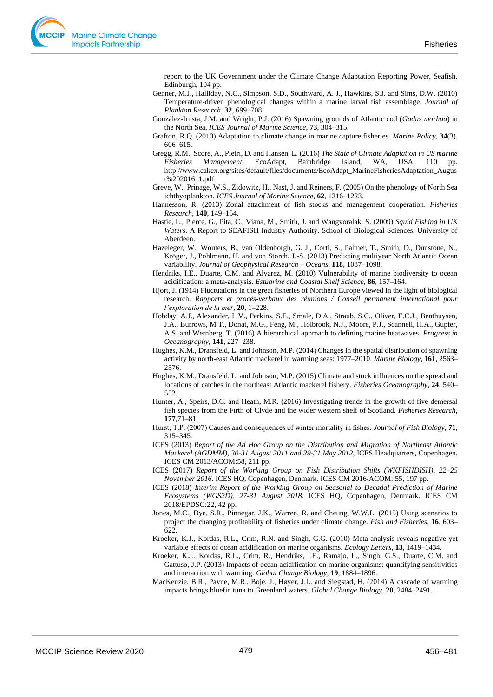report to the UK Government under the Climate Change Adaptation Reporting Power, Seafish, Edinburgh, 104 pp.

- Genner, M.J., Halliday, N.C., Simpson, S.D., Southward, A. J., Hawkins, S.J. and Sims, D.W. (2010) Temperature-driven phenological changes within a marine larval fish assemblage. *Journal of Plankton Research*, **32**, 699–708.
- González-Irusta, J.M. and Wright, P.J. (2016) Spawning grounds of Atlantic cod (*Gadus morhua*) in the North Sea, *ICES Journal of Marine Science*, **73**, 304–315.
- Grafton, R.Q. (2010) Adaptation to climate change in marine capture fisheries. *Marine Policy*, **34**(3), 606–615.
- Gregg, R.M., Score, A., Pietri, D. and Hansen, L. (2016) *The State of Climate Adaptation in US marine Fisheries Management*. EcoAdapt, Bainbridge Island, WA, USA, 110 pp. http://www.cakex.org/sites/default/files/documents/EcoAdapt\_MarineFisheriesAdaptation\_Augus t%202016\_1.pdf
- Greve, W., Prinage, W.S., Zidowitz, H., Nast, J. and Reiners, F. (2005) On the phenology of North Sea ichthyoplankton. *ICES Journal of Marine Science*, **62**, 1216–1223.
- Hannesson, R. (2013) Zonal attachment of fish stocks and management cooperation. *Fisheries Research*, **140**, 149–154.
- Hastie, L., Pierce, G., Pita, C., Viana, M., Smith, J. and Wangvoralak, S. (2009) *Squid Fishing in UK Waters*. A Report to SEAFISH Industry Authority. School of Biological Sciences, University of Aberdeen.
- Hazeleger, W., Wouters, B., van Oldenborgh, G. J., Corti, S., Palmer, T., Smith, D., Dunstone, N., Kröger, J., Pohlmann, H. and von Storch, J.-S. (2013) Predicting multiyear North Atlantic Ocean variability. *Journal of Geophysical Research – Oceans*, **118**, 1087–1098.
- Hendriks, I.E., Duarte, C.M. and Alvarez, M. (2010) Vulnerability of marine biodiversity to ocean acidification: a meta-analysis. *Estuarine and Coastal Shelf Science*, **86**, 157–164.
- Hjort, J. (1914) Fluctuations in the great fisheries of Northern Europe viewed in the light of biological research. *Rapports et procès-verbaux des réunions / Conseil permanent international pour l'exploration de la mer*, **20**, 1–228.
- Hobday, A.J., Alexander, L.V., Perkins, S.E., Smale, D.A., Straub, S.C., Oliver, E.C.J., Benthuysen, J.A., Burrows, M.T., Donat, M.G., Feng, M., Holbrook, N.J., Moore, P.J., Scannell, H.A., Gupter, A.S. and Wernberg, T. (2016) A hierarchical approach to defining marine heatwaves. *Progress in Oceanography*, **141**, 227–238.
- Hughes, K.M., Dransfeld, L. and Johnson, M.P. (2014) Changes in the spatial distribution of spawning activity by north-east Atlantic mackerel in warming seas: 1977–2010. *Marine Biology*, **161**, 2563– 2576.
- Hughes, K.M., Dransfeld, L. and Johnson, M.P. (2015) Climate and stock influences on the spread and locations of catches in the northeast Atlantic mackerel fishery. *Fisheries Oceanography*, **24**, 540– 552.
- Hunter, A., Speirs, D.C. and Heath, M.R. (2016) Investigating trends in the growth of five demersal fish species from the Firth of Clyde and the wider western shelf of Scotland. *Fisheries Research*, **177**,71–81.
- Hurst, T.P. (2007) Causes and consequences of winter mortality in fishes. *Journal of Fish Biology*, **71**, 315–345.
- ICES (2013) *Report of the Ad Hoc Group on the Distribution and Migration of Northeast Atlantic Mackerel (AGDMM), 30-31 August 2011 and 29-31 May 2012*, ICES Headquarters, Copenhagen. ICES CM 2013/ACOM:58, 211 pp.
- ICES (2017) *Report of the Working Group on Fish Distribution Shifts (WKFISHDISH), 22–25 November 2016*. ICES HQ, Copenhagen, Denmark. ICES CM 2016/ACOM: 55, 197 pp.
- ICES (2018) *Interim Report of the Working Group on Seasonal to Decadal Prediction of Marine Ecosystems (WGS2D), 27-31 August 2018*. ICES HQ, Copenhagen, Denmark. ICES CM 2018/EPDSG:22, 42 pp.
- Jones, M.C., Dye, S.R., Pinnegar, J.K., Warren, R. and Cheung, W.W.L. (2015) Using scenarios to project the changing profitability of fisheries under climate change. *Fish and Fisheries*, **16**, 603– 622.
- Kroeker, K.J., Kordas, R.L., Crim, R.N. and Singh, G.G. (2010) Meta-analysis reveals negative yet variable effects of ocean acidification on marine organisms. *Ecology Letters*, **13**, 1419–1434.
- Kroeker, K.J., Kordas, R.L., Crim, R., Hendriks, I.E., Ramajo, L., Singh, G.S., Duarte, C.M. and Gattuso, J.P. (2013) Impacts of ocean acidification on marine organisms: quantifying sensitivities and interaction with warming. *Global Change Biology*, **19**, 1884–1896.
- MacKenzie, B.R., Payne, M.R., Boje, J., Høyer, J.L. and Siegstad, H. (2014) A cascade of warming impacts brings bluefin tuna to Greenland waters. *Global Change Biology*, **20**, 2484–2491.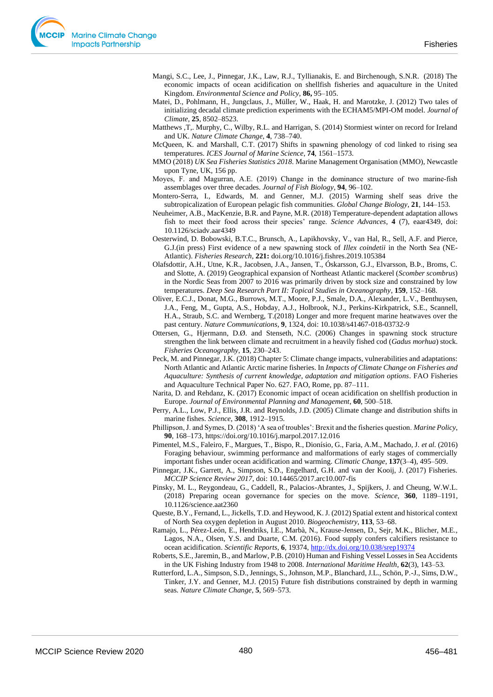- Mangi, S.C., Lee, J., Pinnegar, J.K., Law, R.J., Tyllianakis, E. and Birchenough, S.N.R. (2018) The economic impacts of ocean acidification on shellfish fisheries and aquaculture in the United Kingdom. *Environmental Science and Policy*, **86,** 95–105.
- Matei, D., Pohlmann, H., Jungclaus, J., Müller, W., Haak, H. and Marotzke, J. (2012) Two tales of initializing decadal climate prediction experiments with the ECHAM5/MPI-OM model. *Journal of Climate*, **25**, 8502–8523.
- Matthews ,T,. Murphy, C., Wilby, R.L. and Harrigan, S. (2014) Stormiest winter on record for Ireland and UK. *Nature Climate Change*, **4**, 738–740.
- McQueen, K. and Marshall, C.T. (2017) Shifts in spawning phenology of cod linked to rising sea temperatures. *ICES Journal of Marine Science*, **74**, 1561–1573.
- MMO (2018) *UK Sea Fisheries Statistics 2018*. Marine Management Organisation (MMO), Newcastle upon Tyne, UK, 156 pp.
- Moyes, F. and Magurran, A.E. (2019) Change in the dominance structure of two marine-fish assemblages over three decades. *Journal of Fish Biology*, **94**, 96–102.
- Montero-Serra, I., Edwards, M. and Genner, M.J. (2015) Warming shelf seas drive the subtropicalization of European pelagic fish communities. *Global Change Biology*, **21**, 144–153.
- Neuheimer, A.B., MacKenzie, B.R. and Payne, M.R. (2018) Temperature-dependent adaptation allows fish to meet their food across their species' range. *Science Advances*, **4** (7), eaar4349, doi: 10.1126/sciadv.aar4349
- Oesterwind, D. Bobowski, B.T.C., Brunsch, A., Lapikhovsky, V., van Hal, R., Sell, A.F. and Pierce, G.J.(in press) First evidence of a new spawning stock of *Illex coindetii* in the North Sea (NE-Atlantic). *Fisheries Research,* **221:** doi.org/10.1016/j.fishres.2019.105384
- Olafsdottir, A.H., Utne, K.R., Jacobsen, J.A., Jansen, T., Óskarsson, G.J., Elvarsson, B.Þ., Broms, C. and Slotte, A. (2019) Geographical expansion of Northeast Atlantic mackerel (*Scomber scombrus*) in the Nordic Seas from 2007 to 2016 was primarily driven by stock size and constrained by low temperatures. *Deep Sea Research Part II: Topical Studies in Oceanography*, **159**, 152–168.
- Oliver, E.C.J., Donat, M.G., Burrows, M.T., Moore, P.J., Smale, D.A., Alexander, L.V., Benthuysen, J.A., Feng, M., Gupta, A.S., Hobday, A.J., Holbrook, N.J., Perkins-Kirkpatrick, S.E., Scannell, H.A., Straub, S.C. and Wernberg, T.(2018) Longer and more frequent marine heatwaves over the past century. *Nature Communications*, **9**, 1324, doi: 10.1038/s41467-018-03732-9
- Ottersen, G., Hjermann, D.Ø. and Stenseth, N.C. (2006) Changes in spawning stock structure strengthen the link between climate and recruitment in a heavily fished cod (*Gadus morhua*) stock. *Fisheries Oceanography*, **15**, 230–243.
- Peck, M. and Pinnegar, J.K. (2018) Chapter 5: Climate change impacts, vulnerabilities and adaptations: North Atlantic and Atlantic Arctic marine fisheries. In *Impacts of Climate Change on Fisheries and Aquaculture: Synthesis of current knowledge, adaptation and mitigation options*. FAO Fisheries and Aquaculture Technical Paper No. 627. FAO, Rome, pp. 87–111.
- Narita, D. and Rehdanz, K. (2017) Economic impact of ocean acidification on shellfish production in Europe. *Journal of Environmental Planning and Management*, **60**, 500–518.
- Perry, A.L., Low, P.J., Ellis, J.R. and Reynolds, J.D. (2005) Climate change and distribution shifts in marine fishes. *Science*, **308**, 1912–1915.
- Phillipson, J. and Symes, D. (2018) 'A sea of troubles': Brexit and the fisheries question. *Marine Policy*, **90**, 168–173,<https://doi.org/10.1016/j.marpol.2017.12.016>
- Pimentel, M.S., Faleiro, F., Margues, T., Bispo, R., Dionísio, G., Faria, A.M., Machado, J. *et al.* (2016) Foraging behaviour, swimming performance and malformations of early stages of commercially important fishes under ocean acidification and warming. *Climatic Change*, **137**(3–4), 495–509.
- Pinnegar, J.K., Garrett, A., Simpson, S.D., Engelhard, G.H. and van der Kooij, J. (2017) Fisheries. *MCCIP Science Review 2017*, doi: 10.14465/2017.arc10.007-fis
- Pinsky, M. L., Reygondeau, G., Caddell, R., Palacios-Abrantes, J., Spijkers, J. and Cheung, W.W.L. (2018) Preparing ocean governance for species on the move. *Science*, **360**, 1189–1191, 10.1126/science.aat2360
- Queste, B.Y., Fernand, L., Jickells, T.D. and Heywood, K. J. (2012) Spatial extent and historical context of North Sea oxygen depletion in August 2010. *Biogeochemistry*, **113**, 53–68.
- Ramajo, L., Pérez-León, E., Hendriks, I.E., Marbà, N., Krause-Jensen, D., Sejr, M.K., Blicher, M.E., Lagos, N.A., Olsen, Y.S. and Duarte, C.M. (2016). Food supply confers calcifiers resistance to ocean acidification. *Scientific Reports*, **6**, 19374[, http://dx.doi.org/10.038/srep19374](http://dx.doi.org/10.038/srep19374)
- Roberts, S.E., Jaremin, B., and Marlow, P.B. (2010) Human and Fishing Vessel Losses in Sea Accidents in the UK Fishing Industry from 1948 to 2008. *International Maritime Health*, **62**(3), 143–53.
- Rutterford, L.A., Simpson, S.D., Jennings, S., Johnson, M.P., Blanchard, J.L., Schön, P.-J., Sims, D.W., Tinker, J.Y. and Genner, M.J. (2015) Future fish distributions constrained by depth in warming seas. *Nature Climate Change*, **5**, 569–573.